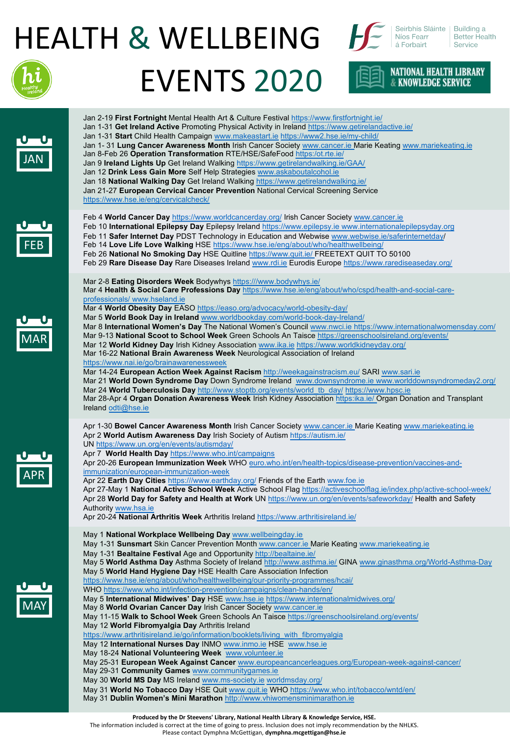## HEALTH & WELLBEING



Seirbhís Sláinte | Building a Níos Fearr á Forbairt

**NATIONAL HEALTH LIBRARY<br>& KNOWLEDGE SERVICE** 

**Better Health** Service





- May 11-15 **Walk to School Week** Green Schools An Taisce <https://greenschoolsireland.org/events/>
- May 12 **World Fibromyalgia Day** Arthritis Ireland

[https://www.arthritisireland.ie/go/information/booklets/living\\_with\\_fibromyalgia](https://www.arthritisireland.ie/go/information/booklets/living_with_fibromyalgia)

- May 12 **International Nurses Day** INMO [www.inmo.ie](http://www.inmo.ie/) HSE [www.hse.ie](http://www.hse.ie/)
- May 18-24 **National Volunteering Week** [www.volunteer.ie](http://www.volunteer.ie/)
- May 25-31 **European Week Against Cancer** [www.europeancancerleagues.org/European-week-against-cancer/](http://www.europeancancerleagues.org/European-week-against-cancer/)
- May 29-31 **Community Games** [www.communitygames.ie](http://www.communitygames.ie/)
- May 30 **World MS Day** MS Ireland [www.ms-society.ie](http://www.ms-society.ie/) [worldmsday.org/](http://worldmsday.org/)
- May 31 **World No Tobacco Day** HSE Quit [www.quit.ie](http://www.quit.ie/) WHO<https://www.who.int/tobacco/wntd/en/>
- May 31 **Dublin Women's Mini Marathon** [http://www.vhiwomensminimarathon.ie](http://www.vhiwomensminimarathon.ie/)

**Produced by the Dr Steevens' Library, National Health Library & Knowledge Service, HSE.**

The information included is correct at the time of going to press. Inclusion does not imply recommendation by the NHLKS.

Please contact Dymphna McGettigan, **dymphna.mcgettigan@hse.ie**

MAR

JAN

FEB